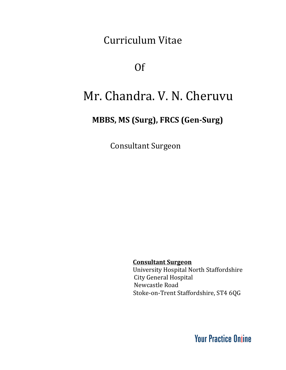Curriculum Vitae

Of

# Mr. Chandra. V. N. Cheruvu

### **MBBS, MS (Surg), FRCS (Gen-Surg)**

Consultant Surgeon

**Consultant Surgeon** University Hospital North Staffordshire City General Hospital Newcastle Road Stoke-on-Trent Staffordshire, ST4 6QG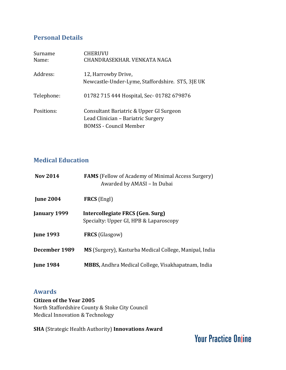### **Personal Details**

| Surname<br>Name: | <b>CHERUVU</b><br>CHANDRASEKHAR, VENKATA NAGA                                                                  |
|------------------|----------------------------------------------------------------------------------------------------------------|
| Address:         | 12, Harrowby Drive,<br>Newcastle-Under-Lyme, Staffordshire. ST5, 3JE UK                                        |
| Telephone:       | 01782 715 444 Hospital, Sec- 01782 679876                                                                      |
| Positions:       | Consultant Bariatric & Upper GI Surgeon<br>Lead Clinician – Bariatric Surgery<br><b>BOMSS</b> - Council Member |

### **Medical Education**

| <b>Nov 2014</b>  | <b>FAMS</b> (Fellow of Academy of Minimal Access Surgery)<br>Awarded by AMASI - In Dubai |
|------------------|------------------------------------------------------------------------------------------|
| <b>June 2004</b> | <b>FRCS</b> (Engl)                                                                       |
| January 1999     | Intercollegiate FRCS (Gen. Surg)<br>Specialty: Upper GI, HPB & Laparoscopy               |
| <b>June 1993</b> | <b>FRCS</b> (Glasgow)                                                                    |
| December 1989    | MS (Surgery), Kasturba Medical College, Manipal, India                                   |
| <b>June 1984</b> | <b>MBBS, Andhra Medical College, Visakhapatnam, India</b>                                |

### **Awards**

**Citizen of the Year 2005** North Staffordshire County & Stoke City Council Medical Innovation & Technology

**SHA** (Strategic Health Authority) **Innovations Award**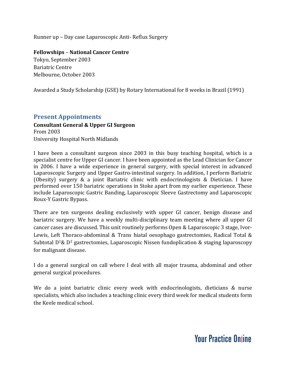Runner up – Day case Laparoscopic Anti- Reflux Surgery

**Fellowships** – **National Cancer Centre**

Tokyo, September 2003 Bariatric Centre Melbourne, October 2003

Awarded a Study Scholarship (GSE) by Rotary International for 8 weeks in Brazil (1991)

#### **Present Appointments**

#### **Consultant General & Upper GI Surgeon** From 2003

University Hospital North Midlands

I have been a consultant surgeon since 2003 in this busy teaching hospital, which is a specialist centre for Upper GI cancer. I have been appointed as the Lead Clinician for Cancer in 2006. I have a wide experience in general surgery, with special interest in advanced Laparoscopic Surgery and Upper Gastro-intestinal surgery. In addition, I perform Bariatric (Obesity) surgery & a joint Bariatric clinic with endocrinologists & Dietician. I have performed over 150 bariatric operations in Stoke apart from my earlier experience. These include Laparoscopic Gastric Banding, Laparoscopic Sleeve Gastrectomy and Laparoscopic Roux-Y Gastric Bypass.

There are ten surgeons dealing exclusively with upper GI cancer, benign disease and bariatric surgery. We have a weekly multi-disciplinary team meeting where all upper GI cancer cases are discussed. This unit routinely performs Open & Laparoscopic 3 stage, Ivor-Lewis, Left Thoraco-abdominal & Trans hiatal oesophago gastrectomies, Radical Total & Subtotal  $D^1\& D^2$  gastrectomies, Laparoscopic Nissen fundoplication & staging laparoscopy for malignant disease.

I do a general surgical on call where I deal with all major trauma, abdominal and other general surgical procedures.

We do a joint bariatric clinic every week with endocrinologists, dieticians & nurse specialists, which also includes a teaching clinic every third week for medical students form the Keele medical school.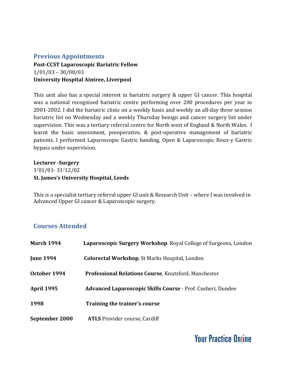#### **Previous Appointments**

**Post-CCST Laparoscopic Bariatric Fellow** 1/01/03 – 30/08/03 **University Hospital Aintree, Liverpool**

This unit also has a special interest in bariatric surgery & upper GI cancer. This hospital was a national recognised bariatric centre performing over 200 procedures per year in 2001-2002. I did the bariatric clinic on a weekly basis and weekly an all-day three session bariatric list on Wednesday and a weekly Thursday benign and cancer surgery list under supervision. This was a tertiary referral centre for North west of England & North Wales. I learnt the basic assessment, preoperative, & post-operative management of bariatric patients. I performed Laparoscopic Gastric banding, Open & Laparoscopic Roux-y Gastric bypass under supervision.

**Lecturer -Surgery** 1 /01/01- 31 /12/02 **St. James's University Hospital, Leeds**

This is a specialist tertiary referral upper GI unit & Research Unit – where I was involved in Advanced Upper GI cancer & Laparoscopic surgery.

### **Courses Attended**

| <b>March 1994</b> | Laparoscopic Surgery Workshop. Royal College of Surgeons, London |
|-------------------|------------------------------------------------------------------|
| <b>June 1994</b>  | <b>Colorectal Workshop, St Marks Hospital, London</b>            |
| October 1994      | Professional Relations Course, Knutsford, Manchester             |
| <b>April 1995</b> | Advanced Laparoscopic Skills Course - Prof. Cusheri, Dundee      |
| 1998              | Training the trainer's course                                    |
| September 2000    | <b>ATLS</b> Provider course, Cardiff                             |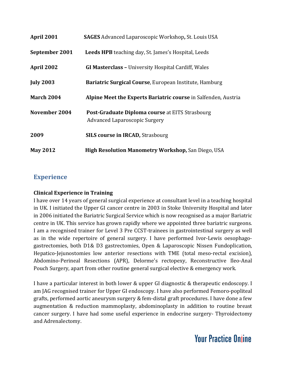| April 2001        | <b>SAGES</b> Advanced Laparoscopic Workshop, St. Louis USA                                     |
|-------------------|------------------------------------------------------------------------------------------------|
| September 2001    | <b>Leeds HPB</b> teaching day, St. James's Hospital, Leeds                                     |
| April 2002        | <b>GI Masterclass - University Hospital Cardiff, Wales</b>                                     |
| <b>July 2003</b>  | Bariatric Surgical Course, European Institute, Hamburg                                         |
| <b>March 2004</b> | Alpine Meet the Experts Bariatric course in Salfenden, Austria                                 |
| November 2004     | <b>Post-Graduate Diploma course at EITS Strasbourg</b><br><b>Advanced Laparoscopic Surgery</b> |
| 2009              | <b>SILS course in IRCAD, Strasbourg</b>                                                        |
| <b>May 2012</b>   | <b>High Resolution Manometry Workshop, San Diego, USA</b>                                      |

### **Experience**

#### **Clinical Experience in Training**

I have over 14 years of general surgical experience at consultant level in a teaching hospital in UK. I initiated the Upper GI cancer centre in 2003 in Stoke University Hospital and later in 2006 initiated the Bariatric Surgical Service which is now recognised as a major Bariatric centre in UK. This service has grown rapidly where we appointed three bariatric surgeons. I am a recognised trainer for Level 3 Pre CCST-trainees in gastrointestinal surgery as well as in the wide repertoire of general surgery. I have performed Ivor-Lewis oesophagogastrectomies, both D1& D3 gastrectomies, Open & Laparoscopic Nissen Fundoplication, Hepatico-Jejunostomies low anterior resections with TME (total meso-rectal excision), Abdomino-Perineal Resections (APR), Delorme's rectopexy, Reconstructive Ileo-Anal Pouch Surgery, apart from other routine general surgical elective & emergency work.

I have a particular interest in both lower & upper GI diagnostic & therapeutic endoscopy. I am JAG recognised trainer for Upper GI endoscopy. I have also performed Femoro-popliteal grafts, performed aortic aneurysm surgery & fem-distal graft procedures. I have done a few augmentation & reduction mammoplasty, abdominoplasty in addition to routine breast cancer surgery. I have had some useful experience in endocrine surgery- Thyroidectomy and Adrenalectomy.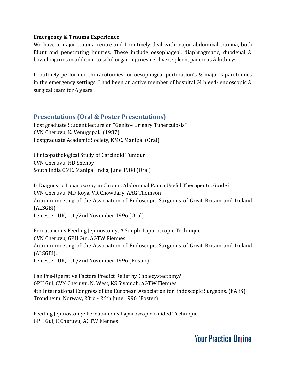#### **Emergency & Trauma Experience**

We have a major trauma centre and I routinely deal with major abdominal trauma, both Blunt and penetrating injuries. These include oesophageal, diaphragmatic, duodenal & bowel injuries in addition to solid organ injuries i.e., liver, spleen, pancreas & kidneys.

I routinely performed thoracotomies for oesophageal perforation's & major laparotomies in the emergency settings. I had been an active member of hospital GI bleed- endoscopic & surgical team for 6 years.

#### **Presentations (Oral & Poster Presentations)**

Post graduate Student lecture on "Genito- Urinary Tuberculosis" CVN Cheruvu, K. Venugopal. (1987) Postgraduate Academic Society, KMC, Manipal (Oral)

Clinicopathological Study of Carcinoid Tumour CVN Cheruvu, HD Shenoy South India CME, Manipal India, June 1988 (Oral)

Is Diagnostic Laparoscopy in Chronic Abdominal Pain a Useful Therapeutic Guide? CVN Cheruvu, MD Koya, VR Chowdary, AAG Thomson Autumn meeting of the Association of Endoscopic Surgeons of Great Britain and Ireland (ALSGBI) Leicester. UK, 1st /2nd November 1996 (Oral)

Percutaneous Feeding Jejunostomy, A Simple Laparoscopic Technique CVN Cheruvu, GPH Gui, AGTW Fiennes Autumn meeting of the Association of Endoscopic Surgeons of Great Britain and Ireland (ALSGBI). Leicester .UK, 1st /2nd November 1996 (Poster)

Can Pre-Operative Factors Predict Relief by Cholecystectomy? GPH Gui, CVN Cheruvu, N. West, KS Sivaniah. AGTW Fiennes 4th International Congress of the European Association for Endoscopic Surgeons. (EAES) Trondheim, Norway, 23rd - 26th June 1996 (Poster)

Feeding Jejunostomy: Percutaneous Laparoscopic-Guided Technique GPH Gui, C Cheruvu, AGTW Fiennes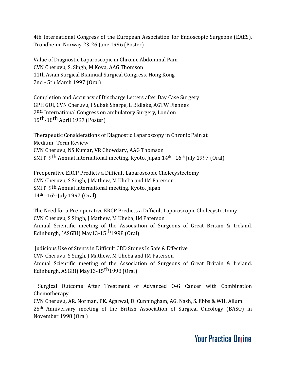4th International Congress of the European Association for Endoscopic Surgeons (EAES), Trondheim, Norway 23-26 June 1996 (Poster)

Value of Diagnostic Laparoscopic in Chronic Abdominal Pain CVN Cheruvu, S. Singh, M Koya, AAG Thomson 11th Asian Surgical Biannual Surgical Congress. Hong Kong 2nd - 5th March 1997 (Oral)

Completion and Accuracy of Discharge Letters after Day Case Surgery GPH GUI, CVN Cheruvu, I Subak Sharpe, L Bidlake, AGTW Fiennes 2<sup>nd</sup> International Congress on ambulatory Surgery, London 15<sup>th</sup>-18<sup>th</sup> April 1997 (Poster)

Therapeutic Considerations of Diagnostic Laparoscopy in Chronic Pain at Medium- Term Review CVN Cheruvu, NS Kumar, VR Chowdary, AAG Thomson SMIT 9th Annual international meeting. Kyoto, Japan 14<sup>th</sup> -16<sup>th</sup> July 1997 (Oral)

Preoperative ERCP Predicts a Difficult Laparoscopic Cholecystectomy CVN Cheruvu, S Singh, J Mathew, M Uheba and IM Paterson SMIT 9th Annual international meeting. Kyoto, Japan 14<sup>th</sup> –16<sup>th</sup> July 1997 (Oral)

The Need for a Pre-operative ERCP Predicts a Difficult Laparoscopic Cholecystectomy CVN Cheruvu, S Singh, J Mathew, M Uheba, IM Paterson Annual Scientific meeting of the Association of Surgeons of Great Britain & Ireland. Edinburgh, (ASGBI) May13-15<sup>th</sup>1998 (Oral)

Judicious Use of Stents in Difficult CBD Stones Is Safe & Effective CVN Cheruvu, S Singh, J Mathew, M Uheba and IM Paterson Annual Scientific meeting of the Association of Surgeons of Great Britain & Ireland. Edinburgh, ASGBI) May13-15<sup>th</sup>1998 (Oral)

Surgical Outcome After Treatment of Advanced O-G Cancer with Combination Chemotherapy CVN Cheruvu**,** AR. Norman, PK. Agarwal, D. Cunningham, AG. Nash, S. Ebbs & WH. Allum. 25<sup>th</sup> Anniversary meeting of the British Association of Surgical Oncology (BASO) in November 1998 (Oral)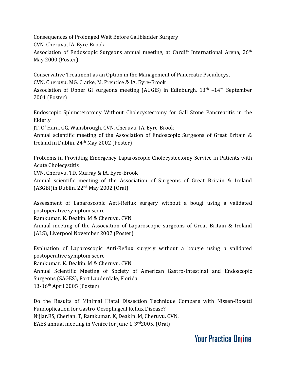Consequences of Prolonged Wait Before Gallbladder Surgery CVN. Cheruvu, IA. Eyre-Brook Association of Endoscopic Surgeons annual meeting, at Cardiff International Arena, 26<sup>th</sup> May 2000 (Poster)

Conservative Treatment as an Option in the Management of Pancreatic Pseudocyst CVN. Cheruvu, MG. Clarke, M. Prentice & IA. Eyre-Brook Association of Upper GI surgeons meeting (AUGIS) in Edinburgh. 13<sup>th</sup> -14<sup>th</sup> September 2001 (Poster)

Endoscopic Sphincterotomy Without Cholecystectomy for Gall Stone Pancreatitis in the Elderly

JT. O' Hara, GG, Wansbrough, CVN. Cheruvu, IA. Eyre-Brook

Annual scientific meeting of the Association of Endoscopic Surgeons of Great Britain & Ireland in Dublin, 24 th May 2002 (Poster)

Problems in Providing Emergency Laparoscopic Cholecystectomy Service in Patients with Acute Cholecystitis

CVN. Cheruvu, TD. Murray & IA. Eyre-Brook

Annual scientific meeting of the Association of Surgeons of Great Britain & Ireland (ASGBI)in Dublin, 22<sup>nd</sup> May 2002 (Oral)

Assessment of Laparoscopic Anti-Reflux surgery without a bougi using a validated postoperative symptom score

Ramkumar. K. Deakin. M & Cheruvu. CVN

Annual meeting of the Association of Laparoscopic surgeons of Great Britain & Ireland (ALS), Liverpool November 2002 (Poster)

Evaluation of Laparoscopic Anti-Reflux surgery without a bougie using a validated postoperative symptom score Ramkumar. K. Deakin. M & Cheruvu. CVN Annual Scientific Meeting of Society of American Gastro-Intestinal and Endoscopic Surgeons (SAGES), Fort Lauderdale, Florida 13-16 th April 2005 (Poster)

Do the Results of Minimal Hiatal Dissection Technique Compare with Nissen-Rosetti Fundoplication for Gastro-Oesophageal Reflux Disease? Nijjar.RS, Cherian. T, Ramkumar. K, Deakin .M, Cheruvu. CVN. EAES annual meeting in Venice for June 1-3rd 2005. (Oral)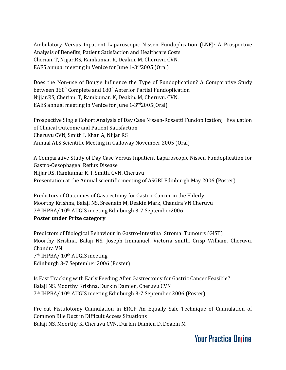Ambulatory Versus Inpatient Laparoscopic Nissen Fundoplication (LNF): A Prospective Analysis of Benefits, Patient Satisfaction and Healthcare Costs Cherian. T, Nijjar.RS, Ramkumar. K, Deakin. M, Cheruvu. CVN. EAES annual meeting in Venice for June 1-3 rd2005 (Oral)

Does the Non-use of Bougie Influence the Type of Fundoplication? A Comparative Study between 360 <sup>0</sup> Complete and 180 <sup>0</sup> Anterior Partial Fundoplication Nijjar.RS, Cherian. T, Ramkumar. K, Deakin. M, Cheruvu. CVN. EAES annual meeting in Venice for June 1-3 rd2005(Oral)

Prospective Single Cohort Analysis of Day Case Nissen-Rossetti Fundoplication; Evaluation of Clinical Outcome and Patient Satisfaction Cheruvu CVN, Smith I, Khan A, Nijjar RS Annual ALS Scientific Meeting in Galloway November 2005 (Oral)

A Comparative Study of Day Case Versus Inpatient Laparoscopic Nissen Fundoplication for Gastro-Oesophageal Reflux Disease Nijjar RS, Ramkumar K, I. Smith, CVN. Cheruvu Presentation at the Annual scientific meeting of ASGBI Edinburgh May 2006 (Poster)

Predictors of Outcomes of Gastrectomy for Gastric Cancer in the Elderly Moorthy Krishna, Balaji NS, Sreenath M, Deakin Mark, Chandra VN Cheruvu 7<sup>th</sup> IHPBA/ 10<sup>th</sup> AUGIS meeting Edinburgh 3-7 September2006 **Poster under Prize category**

Predictors of Biological Behaviour in Gastro-Intestinal Stromal Tumours (GIST) Moorthy Krishna, Balaji NS, Joseph Immanuel, Victoria smith, Crisp William, Cheruvu. Chandra VN 7<sup>th</sup> IHPBA/ 10<sup>th</sup> AUGIS meeting Edinburgh 3-7 September 2006 (Poster)

Is Fast Tracking with Early Feeding After Gastrectomy for Gastric Cancer Feasible? Balaji NS, Moorthy Krishna, Durkin Damien, Cheruvu CVN 7<sup>th</sup> IHPBA/ 10<sup>th</sup> AUGIS meeting Edinburgh 3-7 September 2006 (Poster)

Pre-cut Fistulotomy Cannulation in ERCP An Equally Safe Technique of Cannulation of Common Bile Duct in Difficult Access Situations Balaji NS, Moorthy K, Cheruvu CVN, Durkin Damien D, Deakin M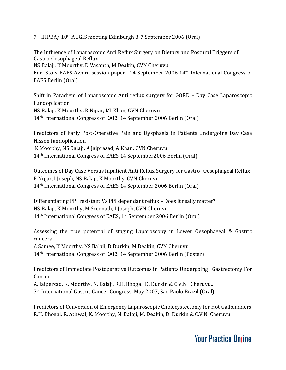7<sup>th</sup> IHPBA/ 10<sup>th</sup> AUGIS meeting Edinburgh 3-7 September 2006 (Oral)

The Influence of Laparoscopic Anti Reflux Surgery on Dietary and Postural Triggers of Gastro-Oesophageal Reflux NS Balaji, K Moorthy, D Vasanth, M Deakin, CVN Cheruvu Karl Storz EAES Award session paper -14 September 2006 14<sup>th</sup> International Congress of EAES Berlin (Oral)

Shift in Paradigm of Laparoscopic Anti reflux surgery for GORD – Day Case Laparoscopic Fundoplication NS Balaji, K Moorthy, R Nijjar, MI Khan, CVN Cheruvu 14 th International Congress of EAES 14 September 2006 Berlin (Oral)

Predictors of Early Post-Operative Pain and Dysphagia in Patients Undergoing Day Case Nissen fundoplication

K Moorthy, NS Balaji, A Jaiprasad, A Khan, CVN Cheruvu 14 th International Congress of EAES 14 September2006 Berlin (Oral)

Outcomes of Day Case Versus Inpatient Anti Reflux Surgery for Gastro- Oesophageal Reflux R Nijjar, I Joseph, NS Balaji, K Moorthy, CVN Cheruvu 14<sup>th</sup> International Congress of EAES 14 September 2006 Berlin (Oral)

Differentiating PPI resistant Vs PPI dependant reflux – Does it really matter? NS Balaji, K Moorthy, M Sreenath, I Joseph, CVN Cheruvu 14 th International Congress of EAES, 14 September 2006 Berlin (Oral)

Assessing the true potential of staging Laparoscopy in Lower Oesophageal & Gastric cancers.

A Samee, K Moorthy, NS Balaji, D Durkin, M Deakin, CVN Cheruvu 14 th International Congress of EAES 14 September 2006 Berlin (Poster)

Predictors of Immediate Postoperative Outcomes in Patients Undergoing Gastrectomy For Cancer.

A. Jaipersad, K. Moorthy, N. Balaji, R.H. Bhogal, D. Durkin & C.V.N Cheruvu., 7 th International Gastric Cancer Congress. May 2007, Sao Paolo Brazil (Oral)

Predictors of Conversion of Emergency Laparoscopic Cholecystectomy for Hot Gallbladders R.H. Bhogal, R. Athwal, K. Moorthy, N. Balaji, M. Deakin, D. Durkin & C.V.N. Cheruvu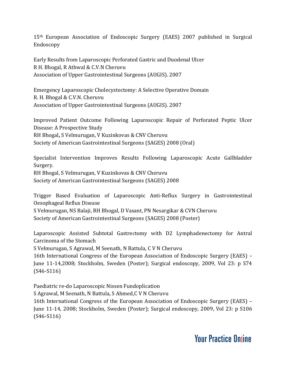15<sup>th</sup> European Association of Endoscopic Surgery (EAES) 2007 published in Surgical Endoscopy

Early Results from Laparoscopic Perforated Gastric and Duodenal Ulcer R H. Bhogal, R Athwal & C.V.N Cheruvu Association of Upper Gastrointestinal Surgeons (AUGIS). 2007

Emergency Laparoscopic Cholecystectomy: A Selective Operative Domain R. H. Bhogal & C.V.N. Cheruvu Association of Upper Gastrointestinal Surgeons (AUGIS). 2007

Improved Patient Outcome Following Laparoscopic Repair of Perforated Peptic Ulcer Disease: A Prospective Study RH Bhogal**,** S Velmurugan, V Kuzinkovas & CNV Cheruvu Society of American Gastrointestinal Surgeons (SAGES) 2008 (Oral)

Specialist Intervention Improves Results Following Laparoscopic Acute Gallbladder Surgery. RH Bhogal, S Velmurugan, V Kuzinkovas & CNV Cheruvu

Society of American Gastrointestinal Surgeons (SAGES) 2008

Trigger Based Evaluation of Laparoscopic Anti-Reflux Surgery in Gastrointestinal Oesophageal Reflux Disease

S Velmurugan, NS Balaji, RH Bhogal, D Vasant, PN Nesargikar & CVN Cheruvu Society of American Gastrointestinal Surgeons (SAGES) 2008 (Poster)

Laparoscopic Assisted Subtotal Gastrectomy with D2 Lymphadenectomy for Antral Carcinoma of the Stomach

S Velmurugan, S [Agrawal](file://D:/Projects/chandra-cheruvu/web/pdfs/javascript:visitAuthor(), [M](file://D:/Projects/chandra-cheruvu/web/pdfs/javascript:visitAuthor() [Seenath](file://D:/Projects/chandra-cheruvu/web/pdfs/javascript:visitAuthor(), N [Battula](file://D:/Projects/chandra-cheruvu/web/pdfs/javascript:visitAuthor(), C V N Cheruvu

16th International Congress of the European Association of Endoscopic Surgery (EAES) – June 11-14,2008; Stockholm, Sweden (Poster); Surgical endoscopy, 2009, Vol 23: p S74 (S46-S116)

Paediatric re-do Laparoscopic Nissen Fundoplication

S [Agrawal](file://D:/Projects/chandra-cheruvu/web/pdfs/javascript:visitAuthor(), [M](file://D:/Projects/chandra-cheruvu/web/pdfs/javascript:visitAuthor() [Seenath,](file://D:/Projects/chandra-cheruvu/web/pdfs/javascript:visitAuthor() N [Battula,](file://D:/Projects/chandra-cheruvu/web/pdfs/javascript:visitAuthor() S Ahmed[,C](file://D:/Projects/chandra-cheruvu/web/pdfs/javascript:visitAuthor() V N [Cheruvu](file://D:/Projects/chandra-cheruvu/web/pdfs/javascript:visitAuthor()

16th International Congress of the European Association of Endoscopic Surgery (EAES) – June 11-14, 2008; Stockholm, Sweden (Poster); Surgical endoscopy, 2009, Vol 23: p S106 (S46-S116)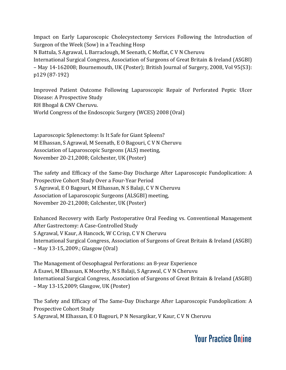Impact on Early Laparoscopic Cholecystectomy Services Following the Introduction of Surgeon of the Week (Sow) in a Teaching Hosp N [Battula,](file://D:/Projects/chandra-cheruvu/web/pdfs/javascript:visitAuthor() S [Agrawal](file://D:/Projects/chandra-cheruvu/web/pdfs/javascript:visitAuthor(), L [Barraclough](file://D:/Projects/chandra-cheruvu/web/pdfs/javascript:visitAuthor(), [M](file://D:/Projects/chandra-cheruvu/web/pdfs/javascript:visitAuthor() [Seenath,](file://D:/Projects/chandra-cheruvu/web/pdfs/javascript:visitAuthor() [C](file://D:/Projects/chandra-cheruvu/web/pdfs/javascript:visitAuthor() [Moffat,](file://D:/Projects/chandra-cheruvu/web/pdfs/javascript:visitAuthor() C V N [Cheruvu](file://D:/Projects/chandra-cheruvu/web/pdfs/javascript:visitAuthor() International Surgical Congress, Association of Surgeons of Great Britain & Ireland (ASGBI) – May 14-162008; Bournemouth, UK (Poster); British Journal of Surgery, 2008, Vol 95(S3): p129 (87-192)

Improved Patient Outcome Following Laparoscopic Repair of Perforated Peptic Ulcer Disease: A Prospective Study RH Bhogal & CNV Cheruvu. World Congress of the Endoscopic Surgery (WCES) 2008 (Oral)

Laparoscopic Splenectomy: Is It Safe for Giant Spleens? M [Elhassan,](file://D:/Projects/chandra-cheruvu/web/pdfs/javascript:visitAuthor() S [Agrawal](file://D:/Projects/chandra-cheruvu/web/pdfs/javascript:visitAuthor(), [M](file://D:/Projects/chandra-cheruvu/web/pdfs/javascript:visitAuthor() [Seenath,](file://D:/Projects/chandra-cheruvu/web/pdfs/javascript:visitAuthor() E [O](file://D:/Projects/chandra-cheruvu/web/pdfs/javascript:visitAuthor() [Bagouri](file://D:/Projects/chandra-cheruvu/web/pdfs/javascript:visitAuthor(), C V N [Cheruvu](file://D:/Projects/chandra-cheruvu/web/pdfs/javascript:visitAuthor() Association of Laparoscopic Surgeons (ALS) meeting, November 20-21,2008; Colchester, UK (Poster)

The safety and Efficacy of the Same-Day Discharge After Laparoscopic Fundoplication: A Prospective Cohort Study Over a Four-Year Period S Agrawal, E [O](file://D:/Projects/chandra-cheruvu/web/pdfs/javascript:visitAuthor() [Bagouri,](file://D:/Projects/chandra-cheruvu/web/pdfs/javascript:visitAuthor() M [Elhassan](file://D:/Projects/chandra-cheruvu/web/pdfs/javascript:visitAuthor(), N S [Balaji,](file://D:/Projects/chandra-cheruvu/web/pdfs/javascript:visitAuthor() C V N Cheruvu Association of Laparoscopic Surgeons (ALSGBI) meeting, November 20-21,2008; Colchester, UK (Poster)

Enhanced Recovery with Early Postoperative Oral Feeding vs. Conventional Management After Gastrectomy: A Case-Controlled Study S Agrawal, V [Kaur](file://D:/Projects/chandra-cheruvu/web/pdfs/javascript:visitAuthor(), A [Hancock,](file://D:/Projects/chandra-cheruvu/web/pdfs/javascript:visitAuthor() W C [Crisp,](file://D:/Projects/chandra-cheruvu/web/pdfs/javascript:visitAuthor() C V N [Cheruvu](file://D:/Projects/chandra-cheruvu/web/pdfs/javascript:visitAuthor() International Surgical Congress, Association of Surgeons of Great Britain & Ireland (ASGBI) – May 13-15,.2009.; Glasgow (Oral)

The Management of Oesophageal Perforations: an 8-year Experience A Esawi, M [Elhassan,](file://D:/Projects/chandra-cheruvu/web/pdfs/javascript:visitAuthor() K [Moorthy](file://D:/Projects/chandra-cheruvu/web/pdfs/javascript:visitAuthor(), N S [Balaji](file://D:/Projects/chandra-cheruvu/web/pdfs/javascript:visitAuthor(), S Agrawal, C V N Cheruvu International Surgical Congress, Association of Surgeons of Great Britain & Ireland (ASGBI) – May 13-15,2009; Glasgow, UK (Poster)

The Safety and Efficacy of The Same-Day Discharge After Laparoscopic Fundoplication: A Prospective Cohort Study

S Agrawal, M [Elhassan](file://D:/Projects/chandra-cheruvu/web/pdfs/javascript:visitAuthor(), E [O](file://D:/Projects/chandra-cheruvu/web/pdfs/javascript:visitAuthor() [Bagouri,](file://D:/Projects/chandra-cheruvu/web/pdfs/javascript:visitAuthor() P [N](file://D:/Projects/chandra-cheruvu/web/pdfs/javascript:visitAuthor() [Nesargikar,](file://D:/Projects/chandra-cheruvu/web/pdfs/javascript:visitAuthor() V [Kaur,](file://D:/Projects/chandra-cheruvu/web/pdfs/javascript:visitAuthor() C V N [Cheruvu](file://D:/Projects/chandra-cheruvu/web/pdfs/javascript:visitAuthor()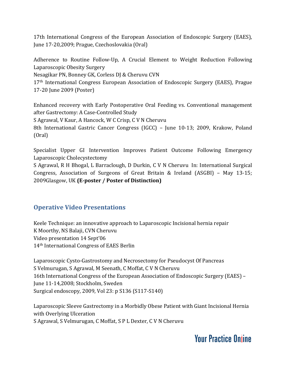17th International Congress of the European Association of Endoscopic Surgery (EAES), June 17-20,2009; Prague, Czechoslovakia (Oral)

Adherence to Routine Follow-Up, A Crucial Element to Weight Reduction Following Laparoscopic Obesity Surgery

Nesagikar PN, Bonney GK, Corless DJ & Cheruvu CVN

17<sup>th</sup> International Congress European Association of Endoscopic Surgery (EAES), Prague 17-20 June 2009 (Poster)

Enhanced recovery with Early Postoperative Oral Feeding vs. Conventional management after Gastrectomy: A Case-Controlled Study

S Agrawal, V [Kaur](file://D:/Projects/chandra-cheruvu/web/pdfs/javascript:visitAuthor(), A [Hancock,](file://D:/Projects/chandra-cheruvu/web/pdfs/javascript:visitAuthor() W C [Crisp,](file://D:/Projects/chandra-cheruvu/web/pdfs/javascript:visitAuthor() C V N [Cheruvu](file://D:/Projects/chandra-cheruvu/web/pdfs/javascript:visitAuthor()

8th International Gastric Cancer Congress (IGCC) – June 10-13; 2009, Krakow, Poland (Oral)

Specialist Upper GI Intervention Improves Patient Outcome Following Emergency Laparoscopic Cholecystectomy

S Agrawal, R [H](file://D:/Projects/chandra-cheruvu/web/pdfs/javascript:visitAuthor() [Bhogal,](file://D:/Projects/chandra-cheruvu/web/pdfs/javascript:visitAuthor() L [Barraclough,](file://D:/Projects/chandra-cheruvu/web/pdfs/javascript:visitAuthor() D [Durkin](file://D:/Projects/chandra-cheruvu/web/pdfs/javascript:visitAuthor(), C V N [Cheruvu](file://D:/Projects/chandra-cheruvu/web/pdfs/javascript:visitAuthor() In: International Surgical Congress, Association of Surgeons of Great Britain & Ireland (ASGBI) – May 13-15; 2009Glasgow, UK **(E-poster / Poster of Distinction)**

### **Operative Video Presentations**

Keele Technique: an innovative approach to Laparoscopic Incisional hernia repair K Moorthy, NS Balaji, CVN Cheruvu Video presentation 14 Sept'06 14 th International Congress of EAES Berlin

Laparoscopic Cysto-Gastrostomy and Necrosectomy for Pseudocyst Of Pancreas S Velmurugan, S [Agrawal](file://D:/Projects/chandra-cheruvu/web/pdfs/javascript:visitAuthor(), M Seenath, [C](file://D:/Projects/chandra-cheruvu/web/pdfs/javascript:visitAuthor() [Moffat](file://D:/Projects/chandra-cheruvu/web/pdfs/javascript:visitAuthor(), C V N [Cheruvu](file://D:/Projects/chandra-cheruvu/web/pdfs/javascript:visitAuthor() 16th International Congress of the European Association of Endoscopic Surgery (EAES) – June 11-14,2008; Stockholm, Sweden Surgical endoscopy, 2009, Vol 23: p S136 (S117-S140)

Laparoscopic Sleeve Gastrectomy in a Morbidly Obese Patient with Giant Incisional Hernia with Overlying Ulceration S Agrawal, S [Velmurugan](file://D:/Projects/chandra-cheruvu/web/pdfs/javascript:visitAuthor(), [C](file://D:/Projects/chandra-cheruvu/web/pdfs/javascript:visitAuthor() [Moffat,](file://D:/Projects/chandra-cheruvu/web/pdfs/javascript:visitAuthor() S P L [Dexter,](file://D:/Projects/chandra-cheruvu/web/pdfs/javascript:visitAuthor() C V N [Cheruvu](file://D:/Projects/chandra-cheruvu/web/pdfs/javascript:visitAuthor()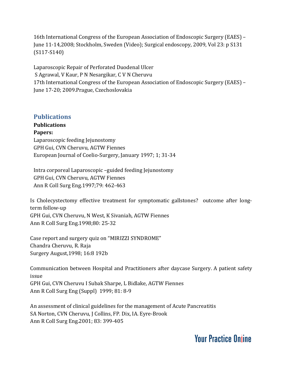16th International Congress of the European Association of Endoscopic Surgery (EAES) – June 11-14,2008; Stockholm, Sweden (Video); Surgical endoscopy, 2009, Vol 23: p S131 (S117-S140)

Laparoscopic Repair of Perforated Duodenal Ulcer S Agrawal, V [Kaur,](file://D:/Projects/chandra-cheruvu/web/pdfs/javascript:visitAuthor() P [N](file://D:/Projects/chandra-cheruvu/web/pdfs/javascript:visitAuthor() [Nesargikar,](file://D:/Projects/chandra-cheruvu/web/pdfs/javascript:visitAuthor() C V N [Cheruvu](file://D:/Projects/chandra-cheruvu/web/pdfs/javascript:visitAuthor() 17th International Congress of the European Association of Endoscopic Surgery (EAES) – June 17-20; 2009.Prague, Czechoslovakia

#### **Publications**

**Publications Papers:** Laparoscopic feeding Jejunostomy GPH Gui, CVN Cheruvu, AGTW Fiennes European Journal of Coelio-Surgery, January 1997; 1; 31-34

Intra corporeal Laparoscopic –guided feeding Jejunostomy GPH Gui, CVN Cheruvu, AGTW Fiennes Ann R Coll Surg Eng.1997;79: 462-463

Is Cholecystectomy effective treatment for symptomatic gallstones? outcome after longterm follow-up GPH Gui, CVN Cheruvu, N West, K Sivaniah, AGTW Fiennes Ann R Coll Surg Eng.1998;80: 25-32

Case report and surgery quiz on "MIRIZZI SYNDROME" Chandra Cheruvu, R. Raja Surgery August,1998; 16:8 192b

Communication between Hospital and Practitioners after daycase Surgery. A patient safety issue GPH Gui, CVN Cheruvu I Subak Sharpe, L Bidlake, AGTW Fiennes Ann R Coll Surg Eng (Suppl) 1999; 81: 8-9

An assessment of clinical guidelines for the management of Acute Pancreatitis SA Norton, CVN Cheruvu, J Collins, FP. Dix, IA. Eyre-Brook Ann R Coll Surg Eng.2001; 83: 399-405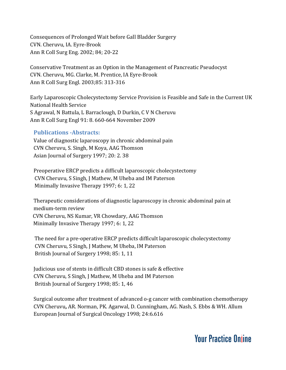Consequences of Prolonged Wait before Gall Bladder Surgery CVN. Cheruvu, IA. Eyre-Brook Ann R Coll Surg Eng. 2002; 84; 20-22

Conservative Treatment as an Option in the Management of Pancreatic Pseudocyst CVN. Cheruvu, MG. Clarke, M. Prentice, IA Eyre-Brook Ann R Coll Surg Engl. 2003;85: 313-316

Early Laparoscopic Cholecystectomy Service Provision is Feasible and Safe in the Current UK National Health Service S Agrawal, N [Battula](file://D:/Projects/chandra-cheruvu/web/pdfs/javascript:visitAuthor(), L [Barraclough](file://D:/Projects/chandra-cheruvu/web/pdfs/javascript:visitAuthor(), D [Durkin,](file://D:/Projects/chandra-cheruvu/web/pdfs/javascript:visitAuthor() C V N [Cheruvu](file://D:/Projects/chandra-cheruvu/web/pdfs/javascript:visitAuthor() Ann R Coll Surg Engl 91: 8. 660-664 November 2009

#### **Publications -Abstracts:**

Value of diagnostic laparoscopy in chronic abdominal pain CVN Cheruvu, S. Singh, M Koya, AAG Thomson Asian Journal of Surgery 1997; 20: 2. 38

Preoperative ERCP predicts a difficult laparoscopic cholecystectomy CVN Cheruvu, S Singh, J Mathew, M Uheba and IM Paterson Minimally Invasive Therapy 1997; 6: 1, 22

Therapeutic considerations of diagnostic laparoscopy in chronic abdominal pain at medium-term review CVN Cheruvu, NS Kumar, VR Chowdary, AAG Thomson Minimally Invasive Therapy 1997; 6: 1, 22

The need for a pre-operative ERCP predicts difficult laparoscopic cholecystectomy CVN Cheruvu, S Singh, J Mathew, M Uheba, IM Paterson British Journal of Surgery 1998; 85: 1, 11

Judicious use of stents in difficult CBD stones is safe & effective CVN Cheruvu, S Singh, J Mathew, M Uheba and IM Paterson British Journal of Surgery 1998; 85: 1, 46

Surgical outcome after treatment of advanced o-g cancer with combination chemotherapy CVN Cheruvu**,** AR. Norman, PK. Agarwal, D. Cunningham, AG. Nash, S. Ebbs & WH. Allum European Journal of Surgical Oncology 1998; 24:6.616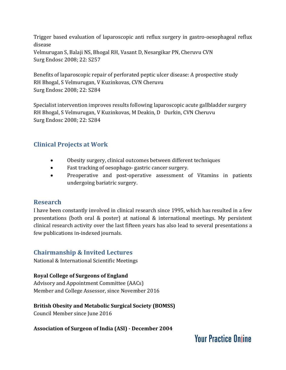Trigger based evaluation of laparoscopic anti reflux surgery in gastro-oesophageal reflux disease Velmurugan S, Balaji NS, Bhogal RH, Vasant D, Nesargikar PN, Cheruvu CVN Surg Endosc 2008; 22: S257

Benefits of laparoscopic repair of perforated peptic ulcer disease: A prospective study RH Bhogal, S Velmurugan, V Kuzinkovas, CVN Cheruvu Surg Endosc 2008; 22: S284

Specialist intervention improves results following laparoscopic acute gallbladder surgery RH Bhogal, S Velmurugan, V Kuzinkovas, M Deakin, D Durkin, CVN Cheruvu Surg Endosc 2008; 22: S284

### **Clinical Projects at Work**

- Obesity surgery, clinical outcomes between different techniques
- Fast tracking of oesophago- gastric cancer surgery.
- Preoperative and post-operative assessment of Vitamins in patients undergoing bariatric surgery.

### **Research**

I have been constantly involved in clinical research since 1995, which has resulted in a few presentations (both oral & poster) at national & international meetings. My persistent clinical research activity over the last fifteen years has also lead to several presentations a few publications in-indexed journals.

### **Chairmanship & Invited Lectures**

National & International Scientific Meetings

#### **Royal College of Surgeons of England**

Advisory and Appointment Committee (AACs) Member and College Assessor, since November 2016

#### **British Obesity and Metabolic Surgical Society (BOMSS)**

Council Member since June 2016

**Association of Surgeon of India (ASI) - December 2004**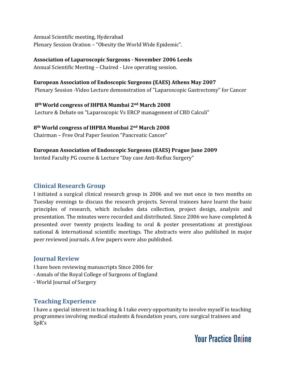Annual Scientific meeting, Hyderabad Plenary Session Oration – "Obesity the World Wide Epidemic".

### **Association of Laparoscopic Surgeons - November 2006 Leeds**

Annual Scientific Meeting – Chaired - Live operating session.

#### **European Association of Endoscopic Surgeons (EAES) Athens May 2007**

Plenary Session -Video Lecture demonstration of "Laparoscopic Gastrectomy" for Cancer

**8 thWorld congress of IHPBA Mumbai 2 nd March 2008** Lecture & Debate on "Laparoscopic Vs ERCP management of CBD Calculi"

#### **8 th World congress of IHPBA Mumbai 2 nd March 2008**

Chairman – Free Oral Paper Session "Pancreatic Cancer"

#### **European Association of Endoscopic Surgeons (EAES) Prague June 2009**

Invited Faculty PG course & Lecture "Day case Anti-Reflux Surgery"

#### **Clinical Research Group**

I initiated a surgical clinical research group in 2006 and we met once in two months on Tuesday evenings to discuss the research projects. Several trainees have learnt the basic principles of research, which includes data collection, project design, analysis and presentation. The minutes were recorded and distributed. Since 2006 we have completed & presented over twenty projects leading to oral & poster presentations at prestigious national & international scientific meetings. The abstracts were also published in major peer reviewed journals. A few papers were also published.

### **Journal Review**

I have been reviewing manuscripts Since 2006 for

- Annals of the Royal College of Surgeons of England
- World Journal of Surgery

### **Teaching Experience**

I have a special interest in teaching & I take every opportunity to involve myself in teaching programmes involving medical students & foundation years, core surgical trainees and SpR's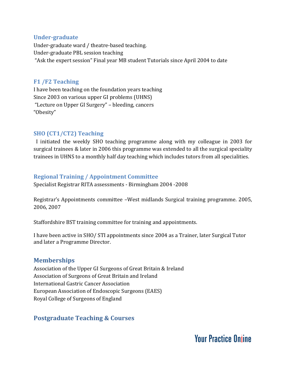#### **Under-graduate**

Under-graduate ward / theatre-based teaching. Under-graduate PBL session teaching "Ask the expert session" Final year MB student Tutorials since April 2004 to date

#### **F1 /F2 Teaching**

I have been teaching on the foundation years teaching Since 2003 on various upper GI problems (UHNS) "Lecture on Upper GI Surgery" – bleeding, cancers "Obesity"

#### **SHO (CT1/CT2) Teaching**

I initiated the weekly SHO teaching programme along with my colleague in 2003 for surgical trainees & later in 2006 this programme was extended to all the surgical speciality trainees in UHNS to a monthly half day teaching which includes tutors from all specialities.

#### **Regional Training / Appointment Committee**

Specialist Registrar RITA assessments - Birmingham 2004 -2008

Registrar's Appointments committee –West midlands Surgical training programme. 2005, 2006, 2007

Staffordshire BST training committee for training and appointments.

I have been active in SHO/ STI appointments since 2004 as a Trainer, later Surgical Tutor and later a Programme Director.

#### **Memberships**

Association of the Upper GI Surgeons of Great Britain & Ireland Association of Surgeons of Great Britain and Ireland International Gastric Cancer Association European Association of Endoscopic Surgeons (EAES) Royal College of Surgeons of England

### **Postgraduate Teaching & Courses**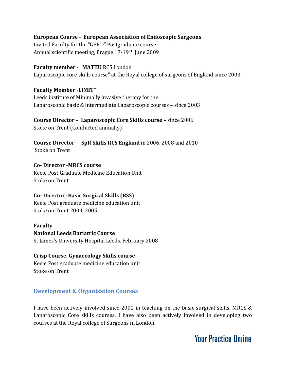#### **European Course - European Association of Endoscopic Surgeons**

Invited Faculty for the "GERD" Postgraduate course Annual scientific meeting, Prague.17-19<sup>TH</sup> June 2009

#### **Faculty member** - **MATTU** RCS London

Laparoscopic core skills course" at the Royal college of surgeons of England since 2003

**Faculty Member** -**LIMIT"** Leeds institute of Minimally invasive therapy for the Laparoscopic basic & intermediate Laparoscopic courses – since 2003

**Course Director – Laparoscopic Core Skills course –** since 2006 Stoke on Trent (Conducted annually)

**Course Director - SpR Skills RCS England** in 2006, 2008 and 2010 Stoke on Trent

**Co- Director** -**MRCS course** Keele Post Graduate Medicine Education Unit Stoke on Trent

#### **Co- Director -Basic Surgical Skills (BSS)**

Keele Post graduate medicine education unit Stoke on Trent 2004, 2005

#### **Faculty**

#### **National Leeds Bariatric Course**

St James's University Hospital Leeds. February 2008

#### **Crisp Course, Gynaecology Skills course**

Keele Post graduate medicine education unit Stoke on Trent

#### **Development & Organisation Courses**

I have been actively involved since 2001 in teaching on the basic surgical skills, MRCS & Laparoscopic Core skills courses. I have also been actively involved in developing two courses at the Royal college of Surgeons in London.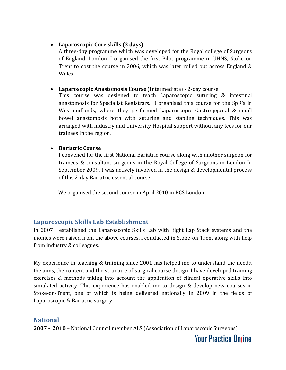#### **Laparoscopic Core skills (3 days)**

A three-day programme which was developed for the Royal college of Surgeons of England, London. I organised the first Pilot programme in UHNS, Stoke on Trent to cost the course in 2006, which was later rolled out across England & Wales.

#### **Laparoscopic Anastomosis Course** (Intermediate) - 2-day course

This course was designed to teach Laparoscopic suturing & intestinal anastomosis for Specialist Registrars. I organised this course for the SpR's in West-midlands, where they performed Laparoscopic Gastro-jejunal & small bowel anastomosis both with suturing and stapling techniques. This was arranged with industry and University Hospital support without any fees for our trainees in the region.

#### **Bariatric Course**

I convened for the first National Bariatric course along with another surgeon for trainees & consultant surgeons in the Royal College of Surgeons in London In September 2009. I was actively involved in the design & developmental process of this 2-day Bariatric essential course.

We organised the second course in April 2010 in RCS London.

### **Laparoscopic Skills Lab Establishment**

In 2007 I established the Laparoscopic Skills Lab with Eight Lap Stack systems and the monies were raised from the above courses. I conducted in Stoke-on-Trent along with help from industry & colleagues.

My experience in teaching & training since 2001 has helped me to understand the needs, the aims, the content and the structure of surgical course design. I have developed training exercises & methods taking into account the application of clinical operative skills into simulated activity. This experience has enabled me to design & develop new courses in Stoke-on-Trent, one of which is being delivered nationally in 2009 in the fields of Laparoscopic & Bariatric surgery.

#### **National**

**2007 - 2010** – National Council member ALS (Association of Laparoscopic Surgeons)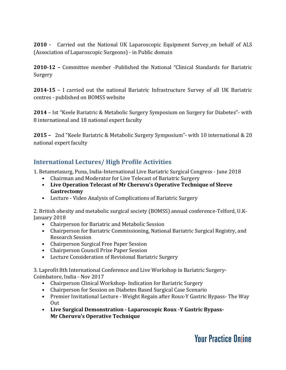**2010 -** Carried out the National UK Laparoscopic Equipment Survey on behalf of ALS (Association of Laparoscopic Surgeons) - in Public domain

**2010-12 –** Committee member -Published the National "Clinical Standards for Bariatric Surgery

**2014-15** – I carried out the national Bariatric Infrastructure Survey of all UK Bariatric centres - published on BOMSS website

**2014** – Ist "Keele Bariatric & Metabolic Surgery Symposium on Surgery for Diabetes"- with 8 international and 18 national expert faculty

**2015 –** 2nd "Keele Bariatric & Metabolic Surgery Symposium"- with 10 international & 20 national expert faculty

### **International Lectures/ High Profile Activities**

1. Betametasurg, Puna, India-International Live Bariatric Surgical Congress - June 2018

- Chairman and Moderator for Live Telecast of Bariatric Surgery
- **Live Operation Telecast of Mr Cheruvu's Operative Technique of Sleeve Gastrectomy**
- Lecture Video Analysis of Complications of Bariatric Surgery

2. British obesity and metabolic surgical society (BOMSS) annual conference-Telford, U.K-January 2018

- Chairperson for Bariatric and Metabolic Session
- Chairperson for Bariatric Commissioning, National Bariatric Surgical Registry, and Research Session
- Chairperson Surgical Free Paper Session
- Chairperson Council Prize Paper Session
- Lecture Consideration of Revisional Bariatric Surgery

3. Laprofit 8th International Conference and Live Workshop in Bariatric Surgery-Coimbatore, India - Nov 2017

- Chairperson Clinical Workshop- Indication for Bariatric Surgery
- Chairperson for Session on Diabetes Based Surgical Case Scenario
- Premier Invitational Lecture Weight Regain after Roux-Y Gastric Bypass- The Way Out
- **Live Surgical Demonstration - Laparoscopic Roux -Y Gastric Bypass-Mr Cheruvu's Operative Technique**